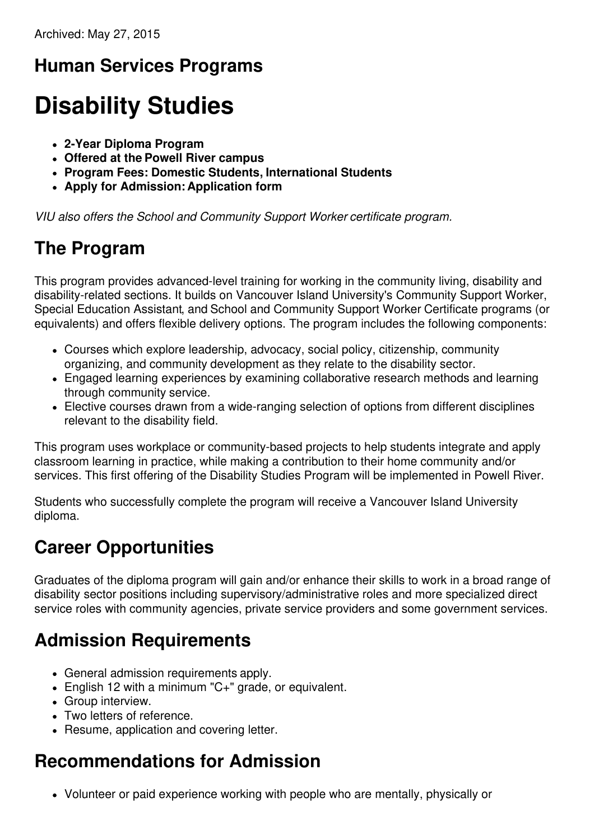# **Human Services Programs**

# **Disability Studies**

- **2-Year Diploma Program**
- **Offered at the Powell River campus**
- **Program Fees: Domestic Students, International Students**
- **Apply for Admission: Application form**

*VIU also offers the School and Community Support Worker certificate program.*

# **The Program**

This program provides advanced-level training for working in the community living, disability and disability-related sections. It builds on Vancouver Island University's Community Support Worker, Special Education Assistant, and School and Community Support Worker Certificate programs (or equivalents) and offers flexible delivery options. The program includes the following components:

- Courses which explore leadership, advocacy, social policy, citizenship, community organizing, and community development as they relate to the disability sector.
- Engaged learning experiences by examining collaborative research methods and learning through community service.
- Elective courses drawn from a wide-ranging selection of options from different disciplines relevant to the disability field.

This program uses workplace or community-based projects to help students integrate and apply classroom learning in practice, while making a contribution to their home community and/or services. This first offering of the Disability Studies Program will be implemented in Powell River.

Students who successfully complete the program will receive a Vancouver Island University diploma.

# **Career Opportunities**

Graduates of the diploma program will gain and/or enhance their skills to work in a broad range of disability sector positions including supervisory/administrative roles and more specialized direct service roles with community agencies, private service providers and some government services.

# **Admission Requirements**

- General admission requirements apply.
- English 12 with a minimum "C+" grade, or equivalent.
- Group interview.
- Two letters of reference.
- Resume, application and covering letter.

# **Recommendations for Admission**

Volunteer or paid experience working with people who are mentally, physically or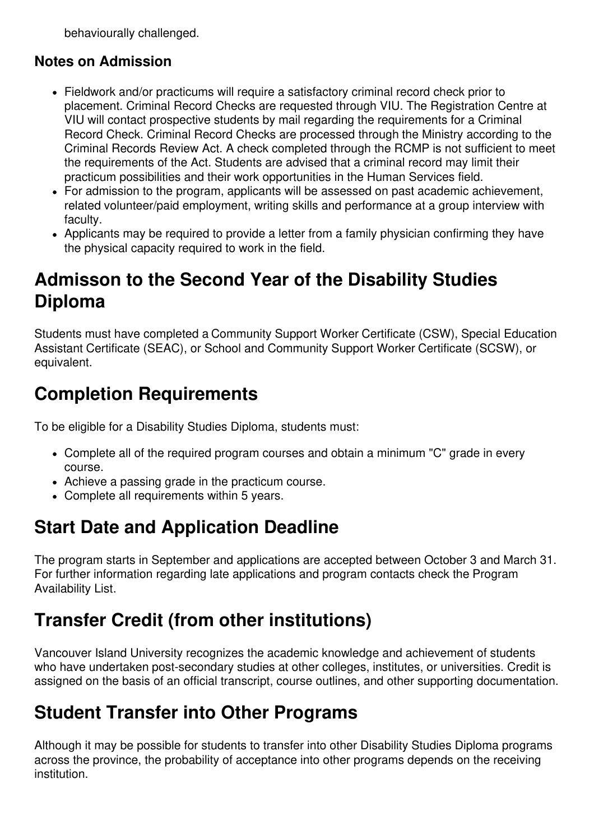behaviourally challenged.

#### **Notes on Admission**

- Fieldwork and/or practicums will require a satisfactory criminal record check prior to placement. Criminal Record Checks are requested through VIU. The Registration Centre at VIU will contact prospective students by mail regarding the requirements for a Criminal Record Check. Criminal Record Checks are processed through the Ministry according to the Criminal Records Review Act. A check completed through the RCMP is not sufficient to meet the requirements of the Act. Students are advised that a criminal record may limit their practicum possibilities and their work opportunities in the Human Services field.
- For admission to the program, applicants will be assessed on past academic achievement, related volunteer/paid employment, writing skills and performance at a group interview with faculty.
- Applicants may be required to provide a letter from a family physician confirming they have the physical capacity required to work in the field.

### **Admisson to the Second Year of the Disability Studies Diploma**

Students must have completed a Community Support Worker Certificate (CSW), Special Education Assistant Certificate (SEAC), or School and Community Support Worker Certificate (SCSW), or equivalent.

### **Completion Requirements**

To be eligible for a Disability Studies Diploma, students must:

- Complete all of the required program courses and obtain a minimum "C" grade in every course.
- Achieve a passing grade in the practicum course.
- Complete all requirements within 5 years.

# **Start Date and Application Deadline**

The program starts in September and applications are accepted between October 3 and March 31. For further information regarding late applications and program contacts check the Program Availability List.

#### **Transfer Credit (from other institutions)**

Vancouver Island University recognizes the academic knowledge and achievement of students who have undertaken post-secondary studies at other colleges, institutes, or universities. Credit is assigned on the basis of an official transcript, course outlines, and other supporting documentation.

#### **Student Transfer into Other Programs**

Although it may be possible for students to transfer into other Disability Studies Diploma programs across the province, the probability of acceptance into other programs depends on the receiving institution.